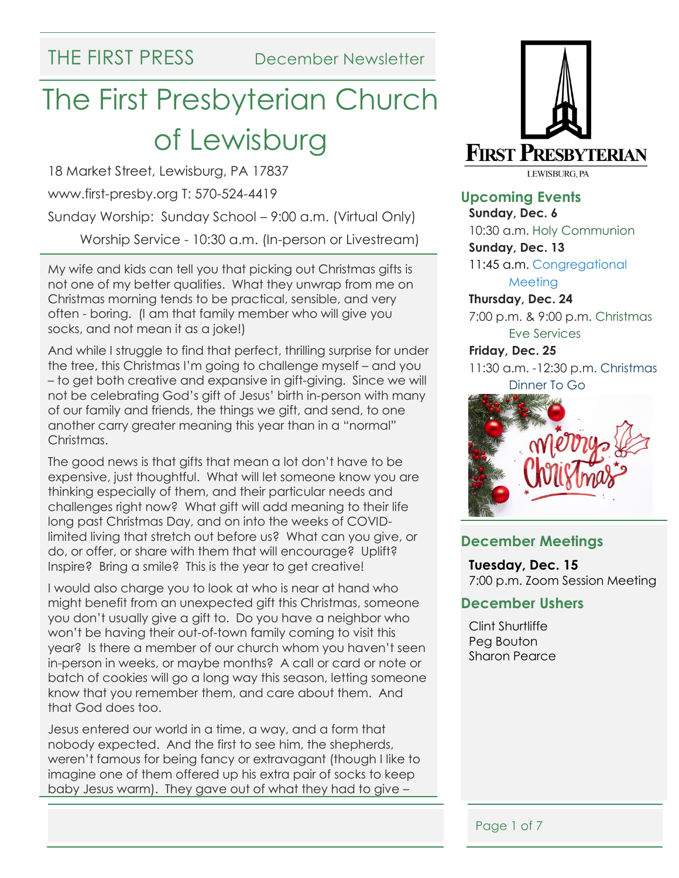# The First Presbyterian Church of Lewisburg

18 Market Street, Lewisburg, PA 17837

www.first-presby.org T: 570-524-4419

Sunday Worship: Sunday School – 9:00 a.m. (Virtual Only)

Worship Service - 10:30 a.m. (In-person or Livestream)

My wife and kids can tell you that picking out Christmas gifts is not one of my better qualities. What they unwrap from me on Christmas morning tends to be practical, sensible, and very often - boring. (I am that family member who will give you socks, and not mean it as a joke!)

And while I struggle to find that perfect, thrilling surprise for under the tree, this Christmas I'm going to challenge myself – and you – to get both creative and expansive in gift-giving. Since we will not be celebrating God's gift of Jesus' birth in-person with many of our family and friends, the things we gift, and send, to one another carry greater meaning this year than in a "normal" Christmas.

The good news is that gifts that mean a lot don't have to be expensive, just thoughtful. What will let someone know you are thinking especially of them, and their particular needs and challenges right now? What gift will add meaning to their life long past Christmas Day, and on into the weeks of COVIDlimited living that stretch out before us? What can you give, or do, or offer, or share with them that will encourage? Uplift? Inspire? Bring a smile? This is the year to get creative!

I would also charge you to look at who is near at hand who might benefit from an unexpected gift this Christmas, someone you don't usually give a gift to. Do you have a neighbor who won't be having their out-of-town family coming to visit this year? Is there a member of our church whom you haven't seen in-person in weeks, or maybe months? A call or card or note or batch of cookies will go a long way this season, letting someone know that you remember them, and care about them. And that God does too.

Jesus entered our world in a time, a way, and a form that nobody expected. And the first to see him, the shepherds, weren't famous for being fancy or extravagant (though I like to imagine one of them offered up his extra pair of socks to keep baby Jesus warm). They gave out of what they had to give –



**Upcoming Events**

**Sunday, Dec. 6** 10:30 a.m. Holy Communion

**Sunday, Dec. 13** 11:45 a.m. Congregational **Meeting** 

**Thursday, Dec. 24** 7:00 p.m. & 9:00 p.m. Christmas Eve Services

**Friday, Dec. 25** 11:30 a.m. -12:30 p.m. Christmas

Dinner To Go



#### **December Meetings**

**Tuesday, Dec. 15** 7:00 p.m. Zoom Session Meeting

#### **December Ushers**

Clint Shurtliffe Peg Bouton Sharon Pearce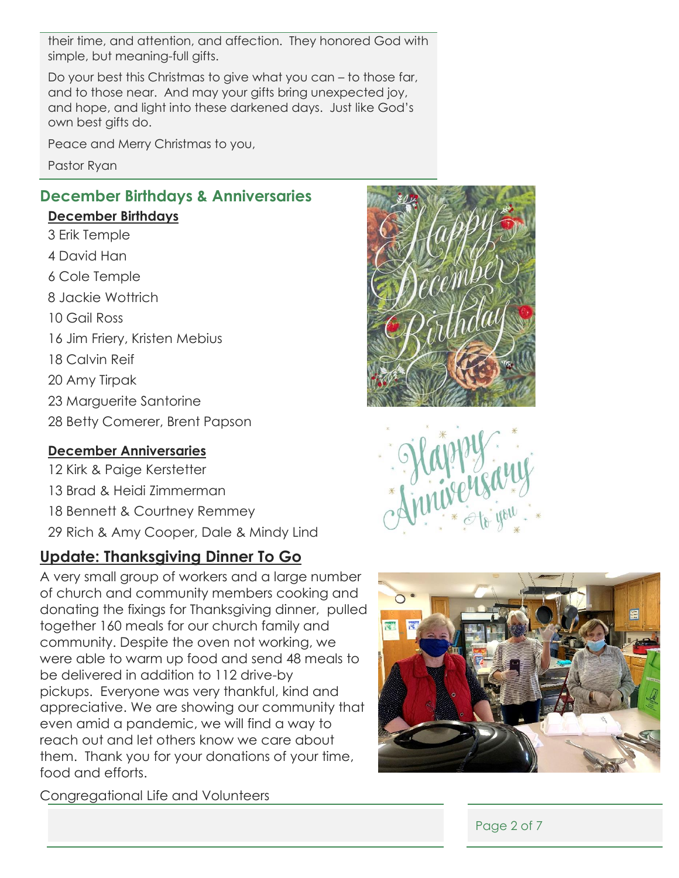their time, and attention, and affection. They honored God with simple, but meaning-full gifts.

Do your best this Christmas to give what you can – to those far, and to those near. And may your gifts bring unexpected joy, and hope, and light into these darkened days. Just like God's own best gifts do.

Peace and Merry Christmas to you,

Pastor Ryan

## **December Birthdays & Anniversaries**

#### **December Birthdays**

- 3 Erik Temple
- 4 David Han
- 6 Cole Temple
- 8 Jackie Wottrich
- 10 Gail Ross
- 16 Jim Friery, Kristen Mebius
- 18 Calvin Reif
- 20 Amy Tirpak
- 23 Marguerite Santorine
- 28 Betty Comerer, Brent Papson

#### **December Anniversaries**

- 12 Kirk & Paige Kerstetter
- 13 Brad & Heidi Zimmerman
- 18 Bennett & Courtney Remmey
- 29 Rich & Amy Cooper, Dale & Mindy Lind

# **Update: Thanksgiving Dinner To Go**

A very small group of workers and a large number of church and community members cooking and donating the fixings for Thanksgiving dinner, pulled together 160 meals for our church family and community. Despite the oven not working, we were able to warm up food and send 48 meals to be delivered in addition to 112 drive-by pickups. Everyone was very thankful, kind and appreciative. We are showing our community that even amid a pandemic, we will find a way to reach out and let others know we care about them. Thank you for your donations of your time, food and efforts.







Congregational Life and Volunteers

Page 2 of 7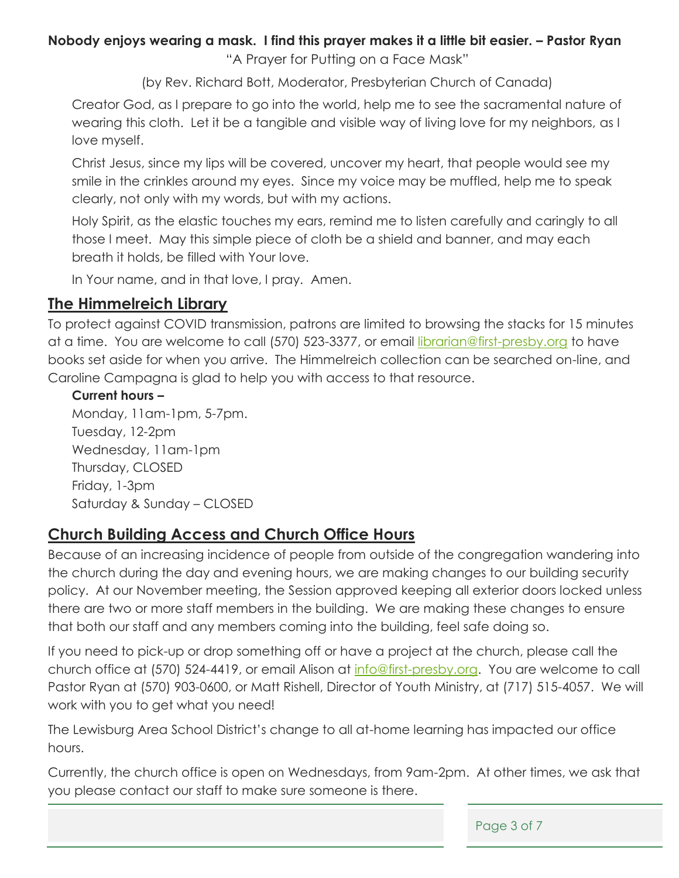#### **Nobody enjoys wearing a mask. I find this prayer makes it a little bit easier. – Pastor Ryan**  "A Prayer for Putting on a Face Mask"

(by Rev. Richard Bott, Moderator, Presbyterian Church of Canada)

Creator God, as I prepare to go into the world, help me to see the sacramental nature of wearing this cloth. Let it be a tangible and visible way of living love for my neighbors, as I love myself.

Christ Jesus, since my lips will be covered, uncover my heart, that people would see my smile in the crinkles around my eyes. Since my voice may be muffled, help me to speak clearly, not only with my words, but with my actions.

Holy Spirit, as the elastic touches my ears, remind me to listen carefully and caringly to all those I meet. May this simple piece of cloth be a shield and banner, and may each breath it holds, be filled with Your love.

In Your name, and in that love, I pray. Amen.

### **The Himmelreich Library**

To protect against COVID transmission, patrons are limited to browsing the stacks for 15 minutes at a time. You are welcome to call (570) 523-3377, or email [librarian@first-presby.org](mailto:librarian@first-presby.org) to have books set aside for when you arrive. The Himmelreich collection can be searched on-line, and Caroline Campagna is glad to help you with access to that resource.

#### **Current hours –**

Monday, 11am-1pm, 5-7pm. Tuesday, 12-2pm Wednesday, 11am-1pm Thursday, CLOSED Friday, 1-3pm Saturday & Sunday – CLOSED

## **Church Building Access and Church Office Hours**

Because of an increasing incidence of people from outside of the congregation wandering into the church during the day and evening hours, we are making changes to our building security policy. At our November meeting, the Session approved keeping all exterior doors locked unless there are two or more staff members in the building. We are making these changes to ensure that both our staff and any members coming into the building, feel safe doing so.

If you need to pick-up or drop something off or have a project at the church, please call the church office at (570) 524-4419, or email Alison at [info@first-presby.org.](mailto:info@first-presby.org) You are welcome to call Pastor Ryan at (570) 903-0600, or Matt Rishell, Director of Youth Ministry, at (717) 515-4057. We will work with you to get what you need!

The Lewisburg Area School District's change to all at-home learning has impacted our office hours.

Currently, the church office is open on Wednesdays, from 9am-2pm. At other times, we ask that you please contact our staff to make sure someone is there.

Page 3 of 7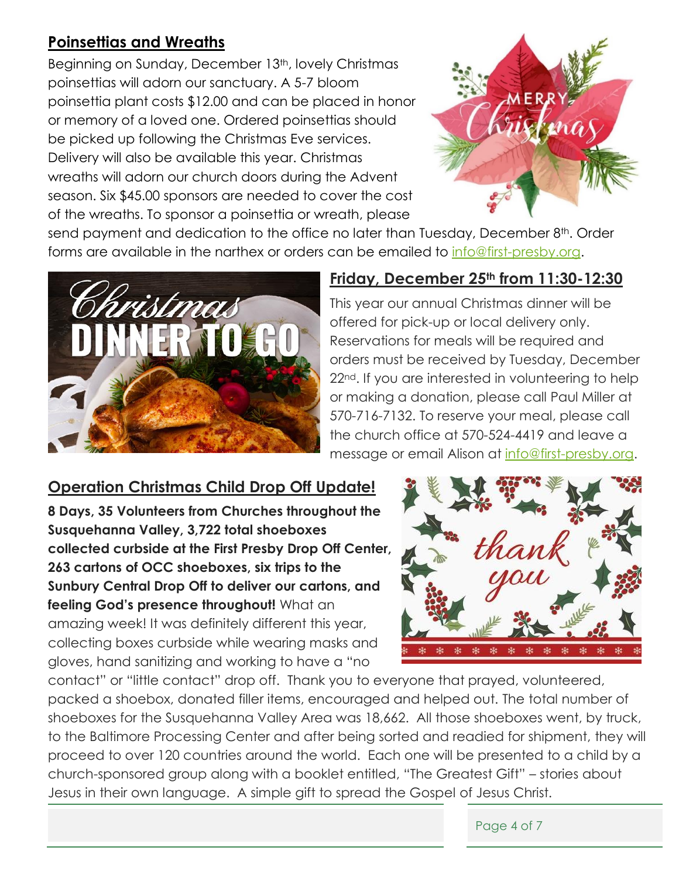# **Poinsettias and Wreaths**

Beginning on Sunday, December 13<sup>th</sup>, lovely Christmas poinsettias will adorn our sanctuary. A 5-7 bloom poinsettia plant costs \$12.00 and can be placed in honor or memory of a loved one. Ordered poinsettias should be picked up following the Christmas Eve services. Delivery will also be available this year. Christmas wreaths will adorn our church doors during the Advent season. Six \$45.00 sponsors are needed to cover the cost of the wreaths. To sponsor a poinsettia or wreath, please



send payment and dedication to the office no later than Tuesday, December 8<sup>th</sup>. Order forms are available in the narthex or orders can be emailed to [info@first-presby.org.](mailto:info@first-presby.org)



### **Friday, December 25th from 11:30-12:30**

This year our annual Christmas dinner will be offered for pick-up or local delivery only. Reservations for meals will be required and orders must be received by Tuesday, December 22<sup>nd</sup>. If you are interested in volunteering to help or making a donation, please call Paul Miller at 570-716-7132. To reserve your meal, please call the church office at 570-524-4419 and leave a message or email Alison at [info@first-presby.org.](mailto:info@first-presby.org)

# **Operation Christmas Child Drop Off Update!**

**8 Days, 35 Volunteers from Churches throughout the Susquehanna Valley, 3,722 total shoeboxes collected curbside at the First Presby Drop Off Center, 263 cartons of OCC shoeboxes, six trips to the Sunbury Central Drop Off to deliver our cartons, and feeling God's presence throughout!** What an amazing week! It was definitely different this year, collecting boxes curbside while wearing masks and gloves, hand sanitizing and working to have a "no



contact" or "little contact" drop off. Thank you to everyone that prayed, volunteered, packed a shoebox, donated filler items, encouraged and helped out. The total number of shoeboxes for the Susquehanna Valley Area was 18,662. All those shoeboxes went, by truck, to the Baltimore Processing Center and after being sorted and readied for shipment, they will proceed to over 120 countries around the world. Each one will be presented to a child by a church-sponsored group along with a booklet entitled, "The Greatest Gift" – stories about Jesus in their own language. A simple gift to spread the Gospel of Jesus Christ.

Page 4 of 7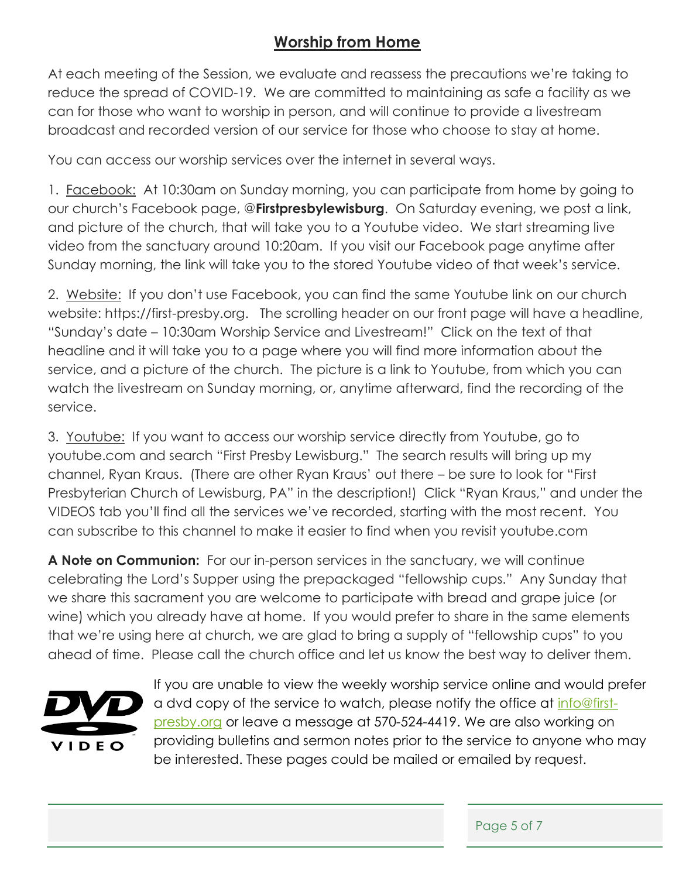# **Worship from Home**

At each meeting of the Session, we evaluate and reassess the precautions we're taking to reduce the spread of COVID-19. We are committed to maintaining as safe a facility as we can for those who want to worship in person, and will continue to provide a livestream broadcast and recorded version of our service for those who choose to stay at home.

You can access our worship services over the internet in several ways.

1. Facebook: At 10:30am on Sunday morning, you can participate from home by going to our church's Facebook page, @**Firstpresbylewisburg**. On Saturday evening, we post a link, and picture of the church, that will take you to a Youtube video. We start streaming live video from the sanctuary around 10:20am. If you visit our Facebook page anytime after Sunday morning, the link will take you to the stored Youtube video of that week's service.

2. Website: If you don't use Facebook, you can find the same Youtube link on our church website: https://first-presby.org. The scrolling header on our front page will have a headline, "Sunday's date – 10:30am Worship Service and Livestream!" Click on the text of that headline and it will take you to a page where you will find more information about the service, and a picture of the church. The picture is a link to Youtube, from which you can watch the livestream on Sunday morning, or, anytime afterward, find the recording of the service.

3. Youtube: If you want to access our worship service directly from Youtube, go to youtube.com and search "First Presby Lewisburg." The search results will bring up my channel, Ryan Kraus. (There are other Ryan Kraus' out there – be sure to look for "First Presbyterian Church of Lewisburg, PA" in the description!) Click "Ryan Kraus," and under the VIDEOS tab you'll find all the services we've recorded, starting with the most recent. You can subscribe to this channel to make it easier to find when you revisit youtube.com

**A Note on Communion:** For our in-person services in the sanctuary, we will continue celebrating the Lord's Supper using the prepackaged "fellowship cups." Any Sunday that we share this sacrament you are welcome to participate with bread and grape juice (or wine) which you already have at home. If you would prefer to share in the same elements that we're using here at church, we are glad to bring a supply of "fellowship cups" to you ahead of time. Please call the church office and let us know the best way to deliver them.



If you are unable to view the weekly worship service online and would prefer a dvd copy of the service to watch, please notify the office at [info@first](mailto:info@first-presby.org)[presby.org](mailto:info@first-presby.org) or leave a message at 570-524-4419. We are also working on providing bulletins and sermon notes prior to the service to anyone who may be interested. These pages could be mailed or emailed by request.

Page 5 of 7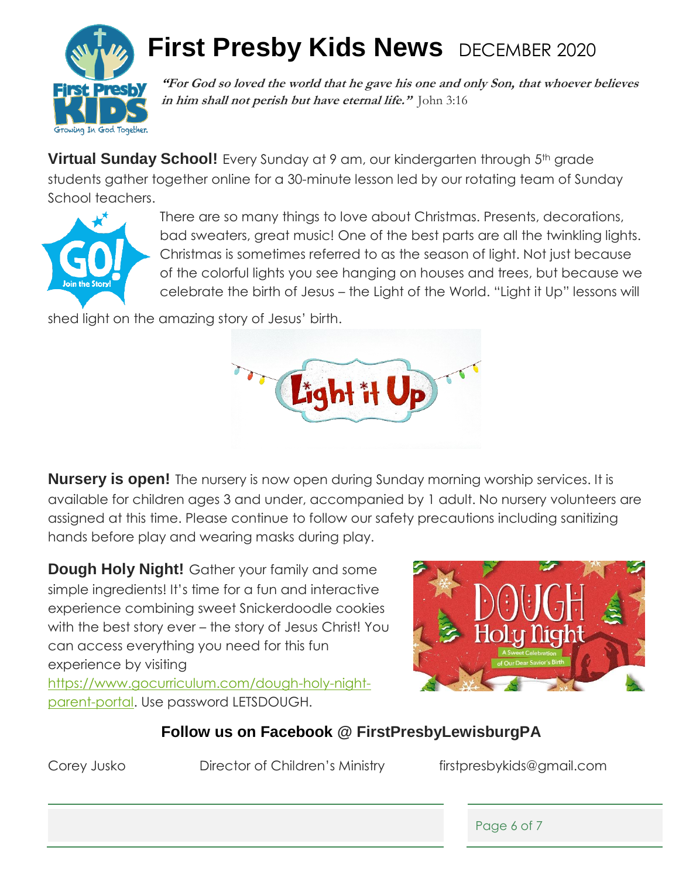

# **First Presby Kids News** DECEMBER 2020

**"For God so loved the world that he gave his one and only Son, that whoever believes in him shall not perish but have eternal life."** John 3:16

**Virtual Sunday School!** Every Sunday at 9 am, our kindergarten through 5<sup>th</sup> grade students gather together online for a 30-minute lesson led by our rotating team of Sunday School teachers.



There are so many things to love about Christmas. Presents, decorations, bad sweaters, great music! One of the best parts are all the twinkling lights. Christmas is sometimes referred to as the season of light. Not just because of the colorful lights you see hanging on houses and trees, but because we celebrate the birth of Jesus – the Light of the World. "Light it Up" lessons will

shed light on the amazing story of Jesus' birth.



**Nursery is open!** The nursery is now open during Sunday morning worship services. It is available for children ages 3 and under, accompanied by 1 adult. No nursery volunteers are assigned at this time. Please continue to follow our safety precautions including sanitizing hands before play and wearing masks during play.

**Dough Holy Night!** Gather your family and some simple ingredients! It's time for a fun and interactive experience combining sweet Snickerdoodle cookies with the best story ever – the story of Jesus Christ! You can access everything you need for this fun experience by visiting

[https://www.gocurriculum.com/dough-holy-night](https://www.gocurriculum.com/dough-holy-night-parent-portal)[parent-portal.](https://www.gocurriculum.com/dough-holy-night-parent-portal) Use password LETSDOUGH.



# **Follow us on Facebook @ FirstPresbyLewisburgPA**

Corey Jusko Director of Children's Ministry firstpresbykids@gmail.com

Page 6 of 7